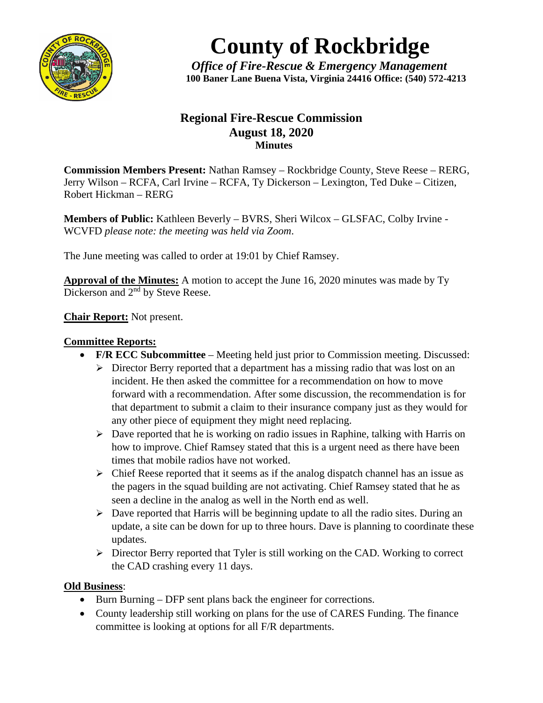

# **County of Rockbridge**

*Office of Fire-Rescue & Emergency Management* **100 Baner Lane Buena Vista, Virginia 24416 Office: (540) 572-4213**

## **Regional Fire-Rescue Commission August 18, 2020 Minutes**

**Commission Members Present:** Nathan Ramsey – Rockbridge County, Steve Reese – RERG, Jerry Wilson – RCFA, Carl Irvine – RCFA, Ty Dickerson – Lexington, Ted Duke – Citizen, Robert Hickman – RERG

**Members of Public:** Kathleen Beverly – BVRS, Sheri Wilcox – GLSFAC, Colby Irvine - WCVFD *please note: the meeting was held via Zoom*.

The June meeting was called to order at 19:01 by Chief Ramsey.

**Approval of the Minutes:** A motion to accept the June 16, 2020 minutes was made by Ty Dickerson and 2<sup>nd</sup> by Steve Reese.

**Chair Report:** Not present.

#### **Committee Reports:**

- **F/R ECC Subcommittee** Meeting held just prior to Commission meeting. Discussed:
	- $\triangleright$  Director Berry reported that a department has a missing radio that was lost on an incident. He then asked the committee for a recommendation on how to move forward with a recommendation. After some discussion, the recommendation is for that department to submit a claim to their insurance company just as they would for any other piece of equipment they might need replacing.
	- $\triangleright$  Dave reported that he is working on radio issues in Raphine, talking with Harris on how to improve. Chief Ramsey stated that this is a urgent need as there have been times that mobile radios have not worked.
	- $\triangleright$  Chief Reese reported that it seems as if the analog dispatch channel has an issue as the pagers in the squad building are not activating. Chief Ramsey stated that he as seen a decline in the analog as well in the North end as well.
	- $\triangleright$  Dave reported that Harris will be beginning update to all the radio sites. During an update, a site can be down for up to three hours. Dave is planning to coordinate these updates.
	- $\triangleright$  Director Berry reported that Tyler is still working on the CAD. Working to correct the CAD crashing every 11 days.

### **Old Business**:

- Burn Burning DFP sent plans back the engineer for corrections.
- County leadership still working on plans for the use of CARES Funding. The finance committee is looking at options for all F/R departments.